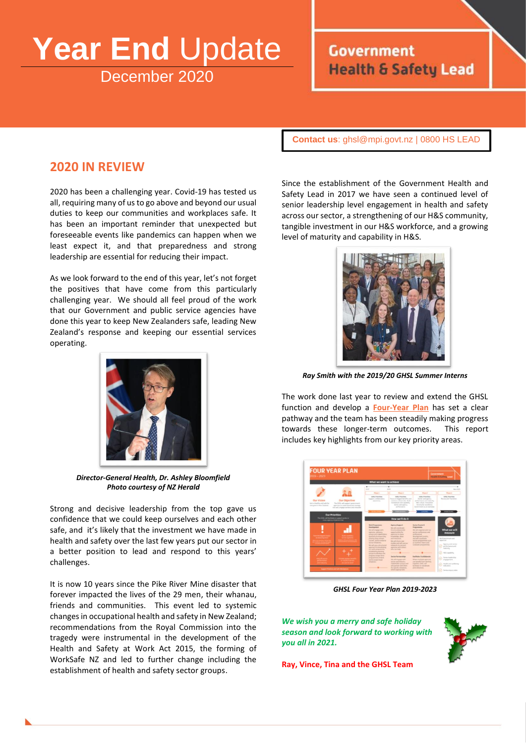# **Year End** Update December 2020

# **Government Health & Safety Lead**

**Contact us**: [ghsl@mpi.govt.nz](mailto:ghsl@mpi.govt.nz) | 0800 HS LEAD

### **2020 IN REVIEW**

2020 has been a challenging year. Covid-19 has tested us all, requiring many of us to go above and beyond our usual duties to keep our communities and workplaces safe. It has been an important reminder that unexpected but foreseeable events like pandemics can happen when we least expect it, and that preparedness and strong leadership are essential for reducing their impact.

As we look forward to the end of this year, let's not forget the positives that have come from this particularly challenging year. We should all feel proud of the work that our Government and public service agencies have done this year to keep New Zealanders safe, leading New Zealand's response and keeping our essential services operating.



*Director-General Health, Dr. Ashley Bloomfield Photo courtesy of NZ Herald*

Strong and decisive leadership from the top gave us confidence that we could keep ourselves and each other safe, and it's likely that the investment we have made in health and safety over the last few years put our sector in a better position to lead and respond to this years' challenges.

It is now 10 years since the Pike River Mine disaster that forever impacted the lives of the 29 men, their whanau, friends and communities. This event led to systemic changes in occupational health and safety in New Zealand; recommendations from the Royal Commission into the tragedy were instrumental in the development of the Health and Safety at Work Act 2015, the forming of WorkSafe NZ and led to further change including the establishment of health and safety sector groups.

Since the establishment of the Government Health and Safety Lead in 2017 we have seen a continued level of senior leadership level engagement in health and safety across our sector, a strengthening of our H&S community, tangible investment in our H&S workforce, and a growing level of maturity and capability in H&S.



*Ray Smith with the 2019/20 GHSL Summer Interns*

The work done last year to review and extend the GHSL function and develop a **[Four-Year Plan](https://www.healthandsafety.govt.nz/reports/strategies/government-health-and-safety-lead-four-year-plan/)** has set a clear pathway and the team has been steadily making progress towards these longer-term outcomes. This report includes key highlights from our key priority areas.



*GHSL Four Year Plan 2019-2023*

*We wish you a merry and safe holiday season and look forward to working with you all in 2021.*



**Ray, Vince, Tina and the GHSL Team**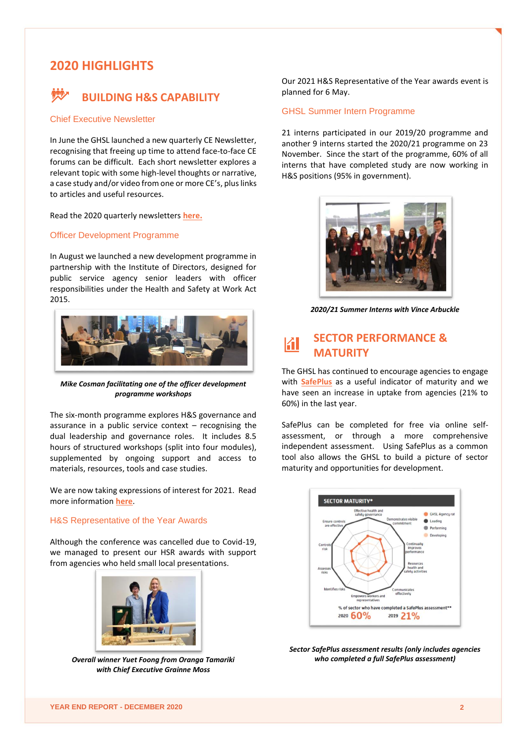## **2020 HIGHLIGHTS**



#### Chief Executive Newsletter

In June the GHSL launched a new quarterly CE Newsletter, recognising that freeing up time to attend face-to-face CE forums can be difficult. Each short newsletter explores a relevant topic with some high-level thoughts or narrative, a case study and/or video from one or more CE's, plus links to articles and useful resources.

Read the 2020 quarterly newsletters **[here](https://www.healthandsafety.govt.nz/news-and-events/ce-newsletter/).**

#### Officer Development Programme

In August we launched a new development programme in partnership with the Institute of Directors, designed for public service agency senior leaders with officer responsibilities under the Health and Safety at Work Act 2015.



*Mike Cosman facilitating one of the officer development programme workshops*

The six-month programme explores H&S governance and assurance in a public service context  $-$  recognising the dual leadership and governance roles. It includes 8.5 hours of structured workshops (split into four modules), supplemented by ongoing support and access to materials, resources, tools and case studies.

We are now taking expressions of interest for 2021. Read more information **[here](https://www.healthandsafety.govt.nz/news-and-events/events/officer-development-programme-202021/)**.

#### H&S Representative of the Year Awards

Although the conference was cancelled due to Covid-19, we managed to present our HSR awards with support from agencies who held small local presentations.



*Overall winner Yuet Foong from Oranga Tamariki with Chief Executive Grainne Moss*

Our 2021 H&S Representative of the Year awards event is planned for 6 May.

#### GHSL Summer Intern Programme

21 interns participated in our 2019/20 programme and another 9 interns started the 2020/21 programme on 23 November. Since the start of the programme, 60% of all interns that have completed study are now working in H&S positions (95% in government).



*2020/21 Summer Interns with Vince Arbuckle*

#### **SECTOR PERFORMANCE &** KI **MATURITY**

The GHSL has continued to encourage agencies to engage with **[SafePlus](https://www.worksafe.govt.nz/managing-health-and-safety/businesses/safeplus/)** as a useful indicator of maturity and we have seen an increase in uptake from agencies (21% to 60%) in the last year.

SafePlus can be completed for free via online selfassessment, or through a more comprehensive independent assessment. Using SafePlus as a common tool also allows the GHSL to build a picture of sector maturity and opportunities for development.



*Sector SafePlus assessment results (only includes agencies who completed a full SafePlus assessment)*